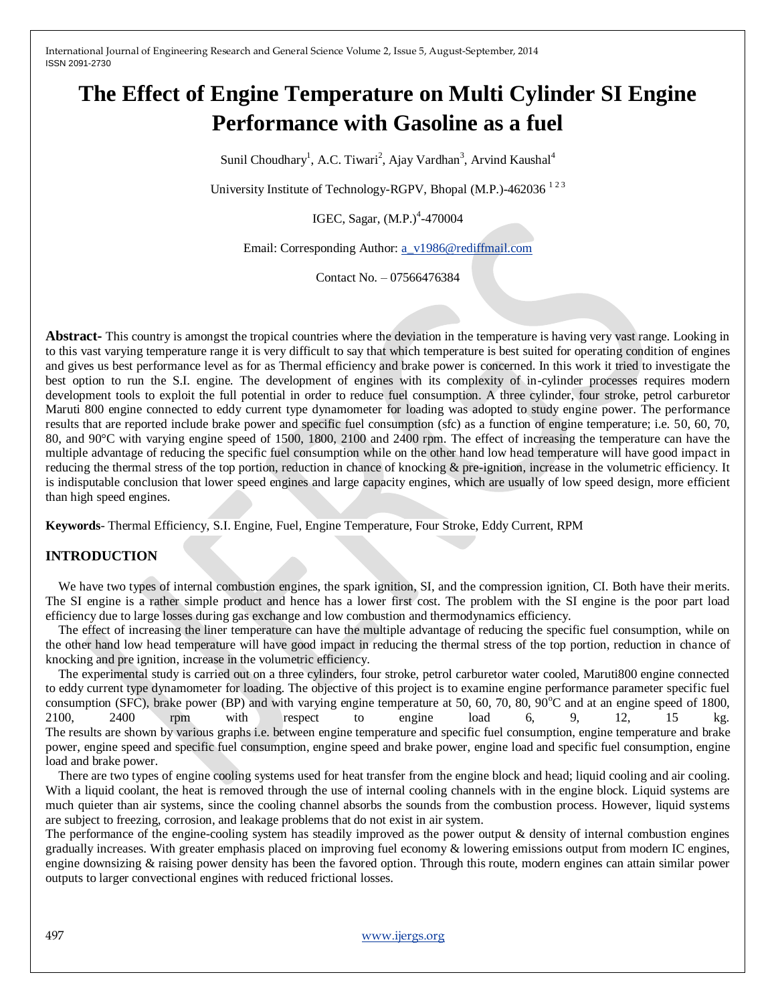# **The Effect of Engine Temperature on Multi Cylinder SI Engine Performance with Gasoline as a fuel**

Sunil Choudhary<sup>1</sup>, A.C. Tiwari<sup>2</sup>, Ajay Vardhan<sup>3</sup>, Arvind Kaushal<sup>4</sup>

University Institute of Technology-RGPV, Bhopal (M.P.)-462036  $^{123}$ 

IGEC, Sagar, (M.P.)<sup>4</sup>-470004

Email: Corresponding Author[: a\\_v1986@rediffmail.com](mailto:a_v1986@rediffmail.com)

Contact No. – 07566476384

**Abstract-** This country is amongst the tropical countries where the deviation in the temperature is having very vast range. Looking in to this vast varying temperature range it is very difficult to say that which temperature is best suited for operating condition of engines and gives us best performance level as for as Thermal efficiency and brake power is concerned. In this work it tried to investigate the best option to run the S.I. engine. The development of engines with its complexity of in-cylinder processes requires modern development tools to exploit the full potential in order to reduce fuel consumption. A three cylinder, four stroke, petrol carburetor Maruti 800 engine connected to eddy current type dynamometer for loading was adopted to study engine power. The performance results that are reported include brake power and specific fuel consumption (sfc) as a function of engine temperature; i.e. 50, 60, 70, 80, and 90°C with varying engine speed of 1500, 1800, 2100 and 2400 rpm. The effect of increasing the temperature can have the multiple advantage of reducing the specific fuel consumption while on the other hand low head temperature will have good impact in reducing the thermal stress of the top portion, reduction in chance of knocking & pre-ignition, increase in the volumetric efficiency. It is indisputable conclusion that lower speed engines and large capacity engines, which are usually of low speed design, more efficient than high speed engines.

**Keywords***-* Thermal Efficiency, S.I. Engine, Fuel, Engine Temperature, Four Stroke, Eddy Current, RPM

# **INTRODUCTION**

We have two types of internal combustion engines, the spark ignition, SI, and the compression ignition, CI. Both have their merits. The SI engine is a rather simple product and hence has a lower first cost. The problem with the SI engine is the poor part load efficiency due to large losses during gas exchange and low combustion and thermodynamics efficiency.

The effect of increasing the liner temperature can have the multiple advantage of reducing the specific fuel consumption, while on the other hand low head temperature will have good impact in reducing the thermal stress of the top portion, reduction in chance of knocking and pre ignition, increase in the volumetric efficiency.

The experimental study is carried out on a three cylinders, four stroke, petrol carburetor water cooled, Maruti800 engine connected to eddy current type dynamometer for loading. The objective of this project is to examine engine performance parameter specific fuel consumption (SFC), brake power (BP) and with varying engine temperature at 50, 60, 70, 80, 90 $^{\circ}$ C and at an engine speed of 1800, 2100, 2400 rpm with respect to engine load 6, 9, 12, 15 kg. The results are shown by various graphs i.e. between engine temperature and specific fuel consumption, engine temperature and brake power, engine speed and specific fuel consumption, engine speed and brake power, engine load and specific fuel consumption, engine load and brake power.

There are two types of engine cooling systems used for heat transfer from the engine block and head; liquid cooling and air cooling. With a liquid coolant, the heat is removed through the use of internal cooling channels with in the engine block. Liquid systems are much quieter than air systems, since the cooling channel absorbs the sounds from the combustion process. However, liquid systems are subject to freezing, corrosion, and leakage problems that do not exist in air system.

The performance of the engine-cooling system has steadily improved as the power output & density of internal combustion engines gradually increases. With greater emphasis placed on improving fuel economy & lowering emissions output from modern IC engines, engine downsizing & raising power density has been the favored option. Through this route, modern engines can attain similar power outputs to larger convectional engines with reduced frictional losses.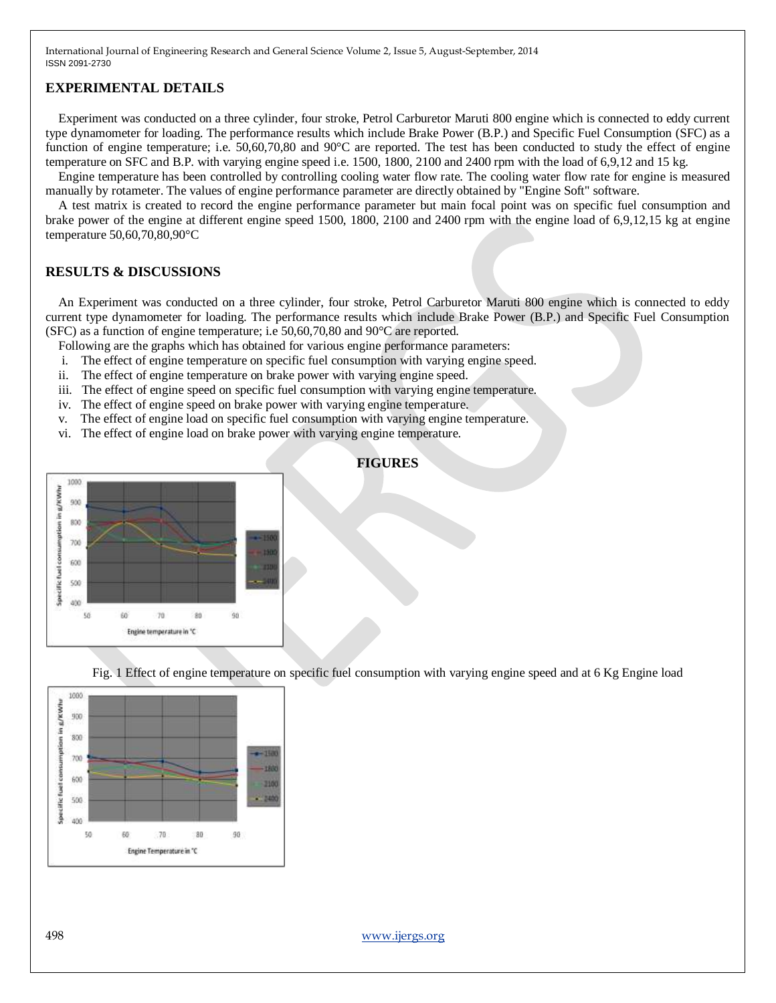#### **EXPERIMENTAL DETAILS**

Experiment was conducted on a three cylinder, four stroke, Petrol Carburetor Maruti 800 engine which is connected to eddy current type dynamometer for loading. The performance results which include Brake Power (B.P.) and Specific Fuel Consumption (SFC) as a function of engine temperature; i.e. 50,60,70,80 and 90°C are reported. The test has been conducted to study the effect of engine temperature on SFC and B.P. with varying engine speed i.e. 1500, 1800, 2100 and 2400 rpm with the load of 6,9,12 and 15 kg.

Engine temperature has been controlled by controlling cooling water flow rate. The cooling water flow rate for engine is measured manually by rotameter. The values of engine performance parameter are directly obtained by "Engine Soft" software.

A test matrix is created to record the engine performance parameter but main focal point was on specific fuel consumption and brake power of the engine at different engine speed 1500, 1800, 2100 and 2400 rpm with the engine load of 6,9,12,15 kg at engine temperature 50,60,70,80,90°C

### **RESULTS & DISCUSSIONS**

An Experiment was conducted on a three cylinder, four stroke, Petrol Carburetor Maruti 800 engine which is connected to eddy current type dynamometer for loading. The performance results which include Brake Power (B.P.) and Specific Fuel Consumption (SFC) as a function of engine temperature; i.e 50,60,70,80 and 90°C are reported.

Following are the graphs which has obtained for various engine performance parameters:

- i. The effect of engine temperature on specific fuel consumption with varying engine speed.
- ii. The effect of engine temperature on brake power with varying engine speed.
- iii. The effect of engine speed on specific fuel consumption with varying engine temperature.
- iv. The effect of engine speed on brake power with varying engine temperature.
- v. The effect of engine load on specific fuel consumption with varying engine temperature.
- vi. The effect of engine load on brake power with varying engine temperature.



#### **FIGURES**

Fig. 1 Effect of engine temperature on specific fuel consumption with varying engine speed and at 6 Kg Engine load

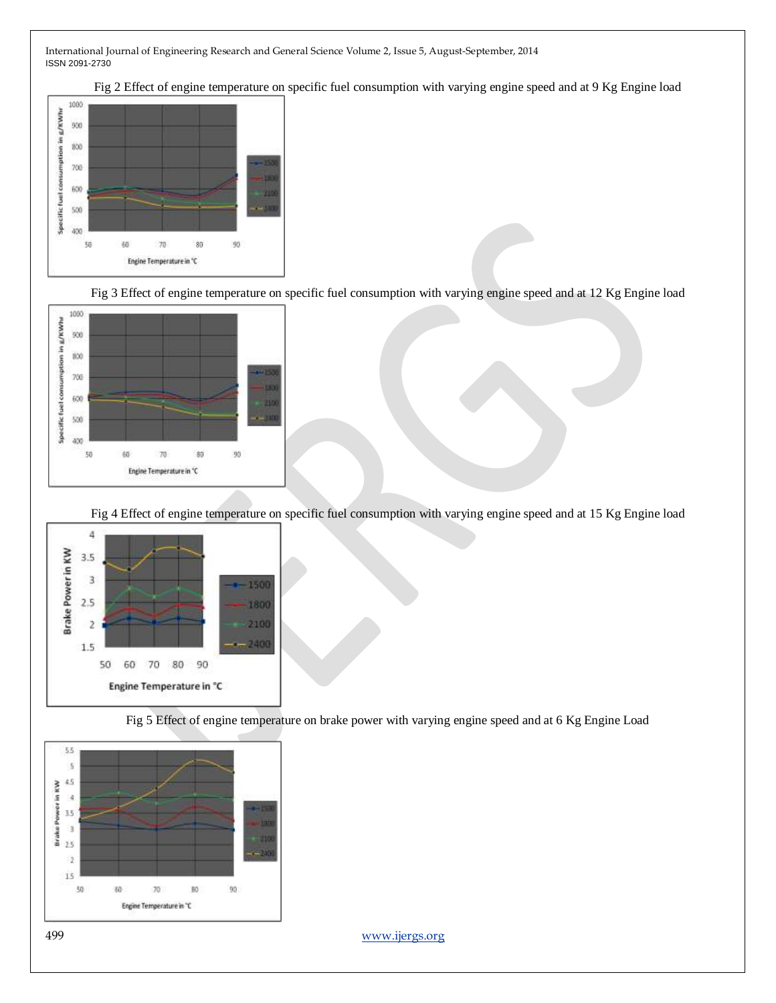Fig 2 Effect of engine temperature on specific fuel consumption with varying engine speed and at 9 Kg Engine load



Fig 3 Effect of engine temperature on specific fuel consumption with varying engine speed and at 12 Kg Engine load



Fig 4 Effect of engine temperature on specific fuel consumption with varying engine speed and at 15 Kg Engine load



Fig 5 Effect of engine temperature on brake power with varying engine speed and at 6 Kg Engine Load

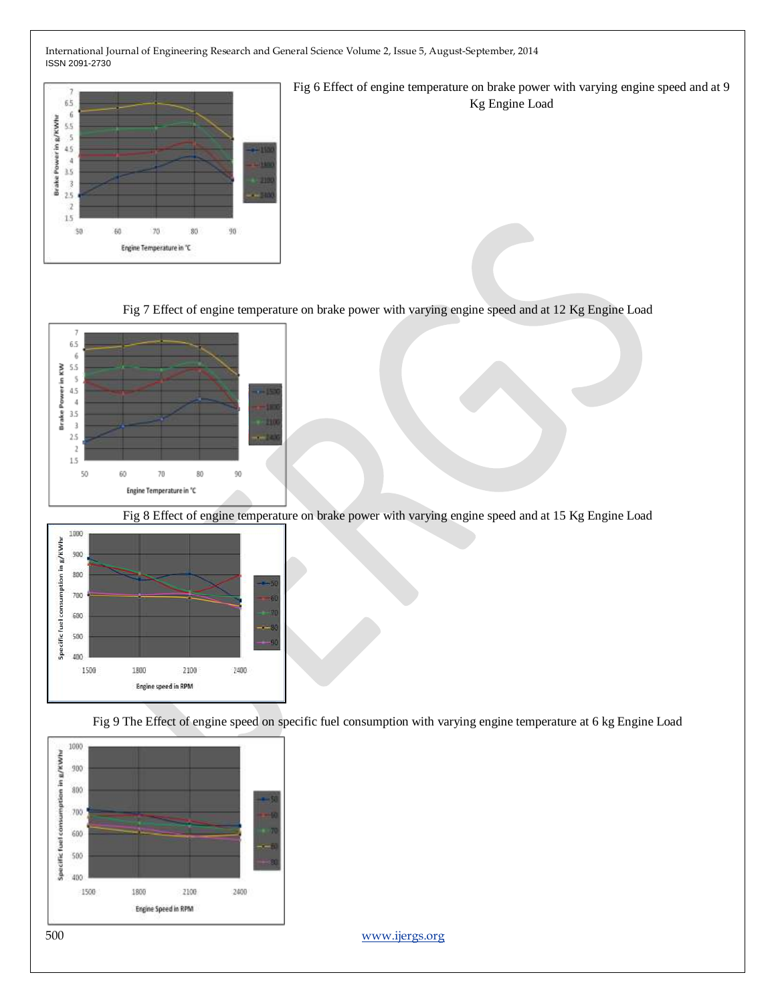

Fig 7 Effect of engine temperature on brake power with varying engine speed and at 12 Kg Engine Load



Fig 8 Effect of engine temperature on brake power with varying engine speed and at 15 Kg Engine Load



Fig 9 The Effect of engine speed on specific fuel consumption with varying engine temperature at 6 kg Engine Load

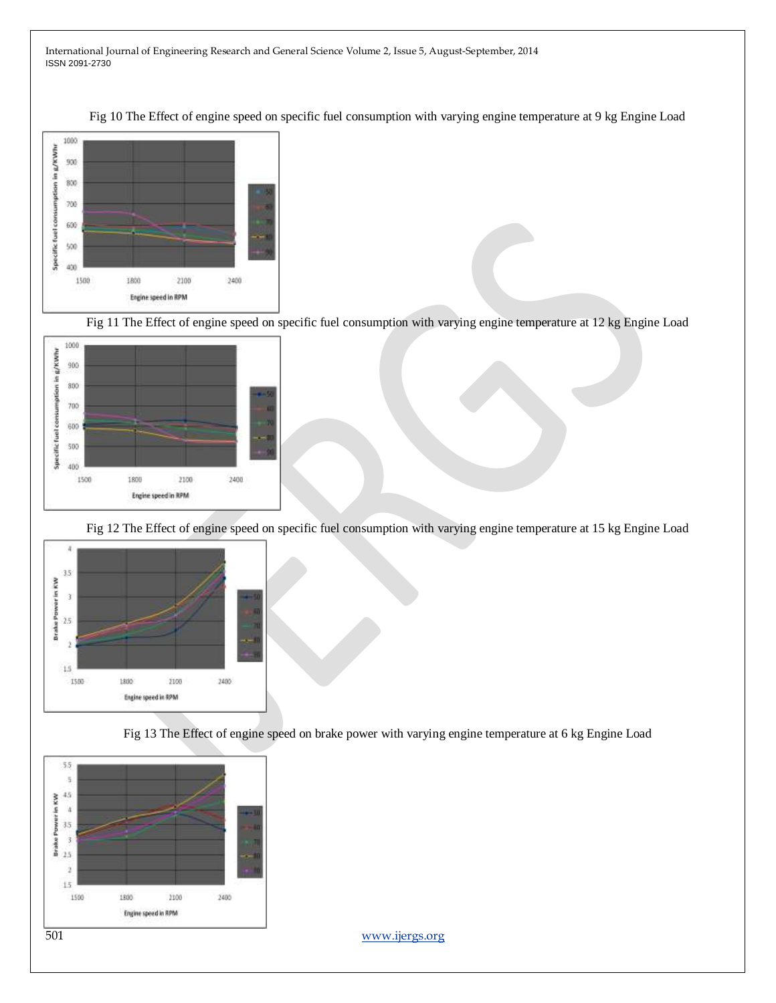Fig 10 The Effect of engine speed on specific fuel consumption with varying engine temperature at 9 kg Engine Load



Fig 11 The Effect of engine speed on specific fuel consumption with varying engine temperature at 12 kg Engine Load



Fig 12 The Effect of engine speed on specific fuel consumption with varying engine temperature at 15 kg Engine Load



Fig 13 The Effect of engine speed on brake power with varying engine temperature at 6 kg Engine Load

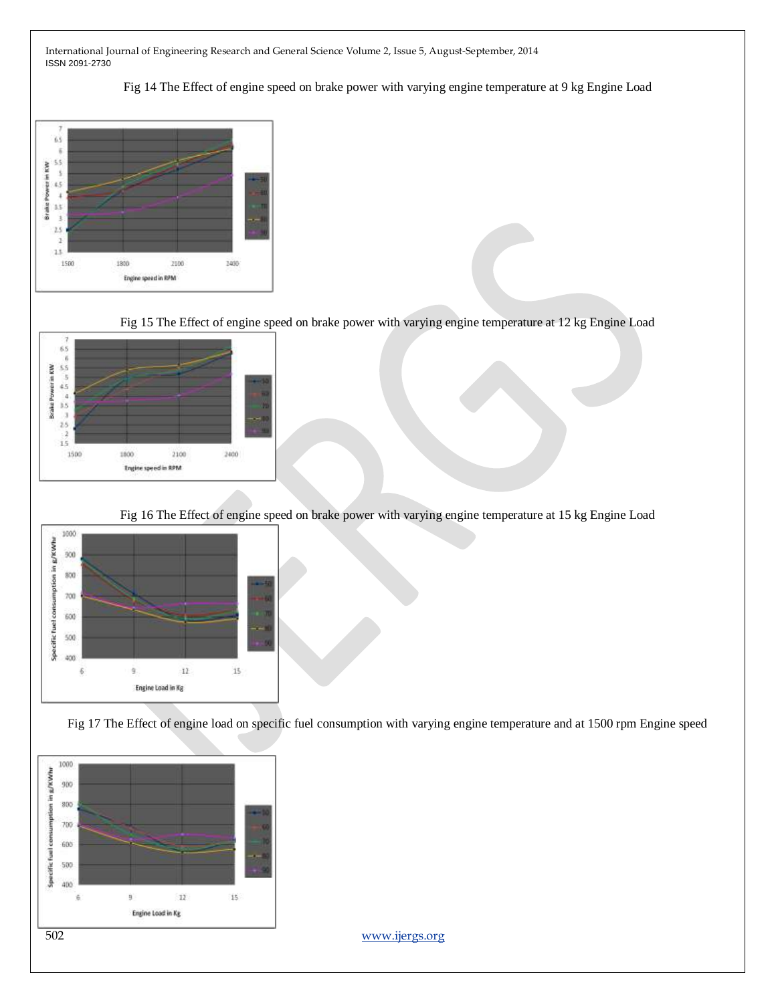Fig 14 The Effect of engine speed on brake power with varying engine temperature at 9 kg Engine Load



Fig 15 The Effect of engine speed on brake power with varying engine temperature at 12 kg Engine Load



Fig 16 The Effect of engine speed on brake power with varying engine temperature at 15 kg Engine Load



Fig 17 The Effect of engine load on specific fuel consumption with varying engine temperature and at 1500 rpm Engine speed

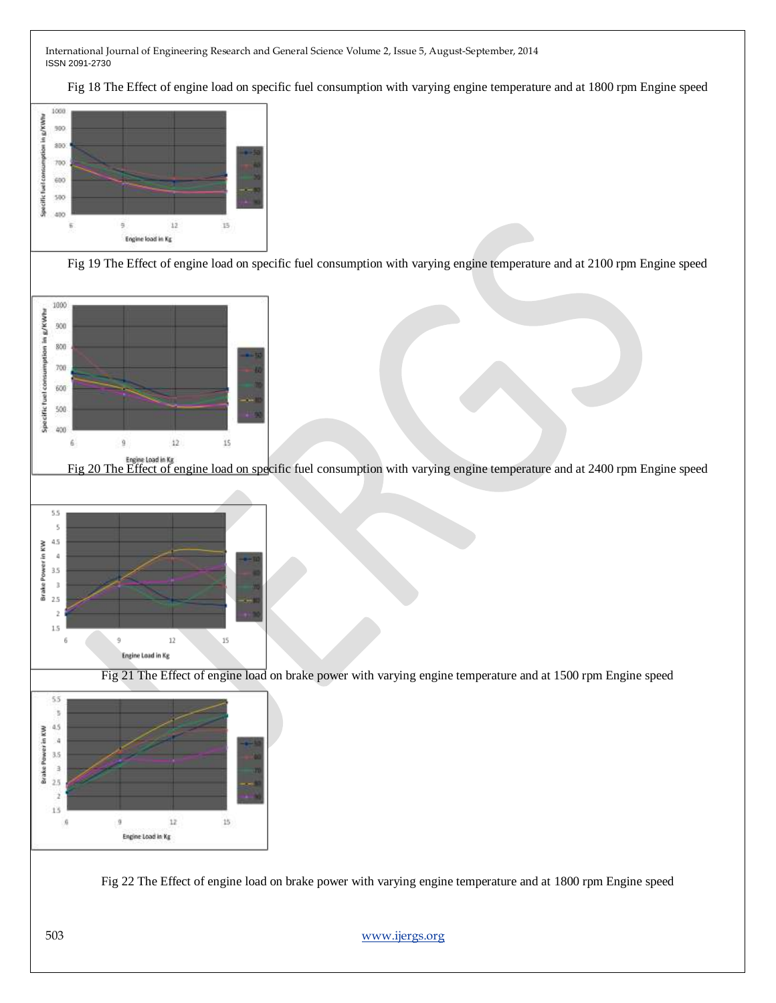Fig 18 The Effect of engine load on specific fuel consumption with varying engine temperature and at 1800 rpm Engine speed



Fig 19 The Effect of engine load on specific fuel consumption with varying engine temperature and at 2100 rpm Engine speed



5.5  $\bar{\rm s}$ 45 **Brake Power in KW**  $\overline{4}$ 3.5  $\overline{\phantom{a}}$  $2.5$  $\overline{2}$  $1.5$  $12$  $1\mathrm{s}$  $\ddot{\text{q}}$ Ń Engine Load in Kg

Fig 21 The Effect of engine load on brake power with varying engine temperature and at 1500 rpm Engine speed



Fig 22 The Effect of engine load on brake power with varying engine temperature and at 1800 rpm Engine speed

503 [www.ijergs.org](http://www.ijergs.org/)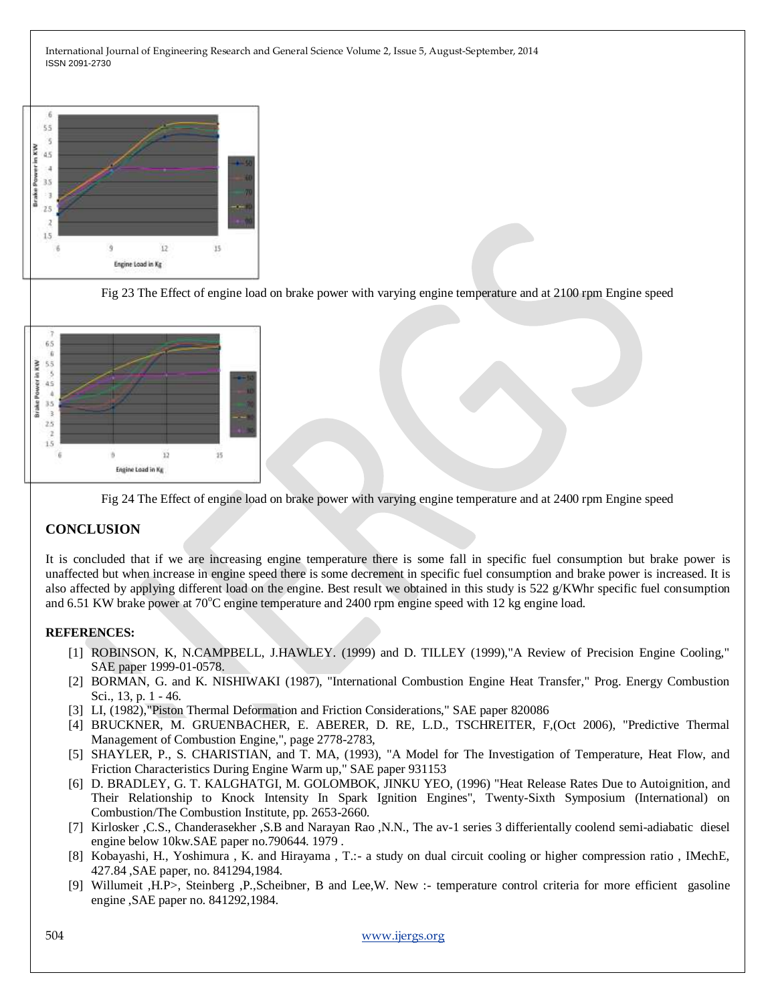

Fig 23 The Effect of engine load on brake power with varying engine temperature and at 2100 rpm Engine speed



Fig 24 The Effect of engine load on brake power with varying engine temperature and at 2400 rpm Engine speed

# **CONCLUSION**

It is concluded that if we are increasing engine temperature there is some fall in specific fuel consumption but brake power is unaffected but when increase in engine speed there is some decrement in specific fuel consumption and brake power is increased. It is also affected by applying different load on the engine. Best result we obtained in this study is  $522 \frac{\text{g}}{\text{K}}$ Whr specific fuel consumption and 6.51 KW brake power at  $70^{\circ}$ C engine temperature and 2400 rpm engine speed with 12 kg engine load.

#### **REFERENCES:**

- [1] ROBINSON, K, N.CAMPBELL, J.HAWLEY. (1999) and D. TILLEY (1999),"A Review of Precision Engine Cooling," SAE paper 1999-01-0578.
- [2] BORMAN, G. and K. NISHIWAKI (1987), "International Combustion Engine Heat Transfer," Prog. Energy Combustion Sci., 13, p. 1 - 46.
- [3] LI, (1982),"Piston Thermal Deformation and Friction Considerations," SAE paper 820086
- [4] BRUCKNER, M. GRUENBACHER, E. ABERER, D. RE, L.D., TSCHREITER, F,(Oct 2006), "Predictive Thermal Management of Combustion Engine,", page 2778-2783,
- [5] SHAYLER, P., S. CHARISTIAN, and T. MA, (1993), "A Model for The Investigation of Temperature, Heat Flow, and Friction Characteristics During Engine Warm up," SAE paper 931153
- [6] D. BRADLEY, G. T. KALGHATGI, M. GOLOMBOK, JINKU YEO, (1996) "Heat Release Rates Due to Autoignition, and Their Relationship to Knock Intensity In Spark Ignition Engines", Twenty-Sixth Symposium (International) on Combustion/The Combustion Institute, pp. 2653-2660.
- [7] Kirlosker ,C.S., Chanderasekher ,S.B and Narayan Rao ,N.N., The av-1 series 3 differientally coolend semi-adiabatic diesel engine below 10kw.SAE paper no.790644. 1979 .
- [8] Kobayashi, H., Yoshimura , K. and Hirayama , T.:- a study on dual circuit cooling or higher compression ratio , IMechE, 427.84 ,SAE paper, no. 841294,1984.
- [9] Willumeit ,H.P>, Steinberg ,P.,Scheibner, B and Lee,W. New :- temperature control criteria for more efficient gasoline engine ,SAE paper no. 841292,1984.